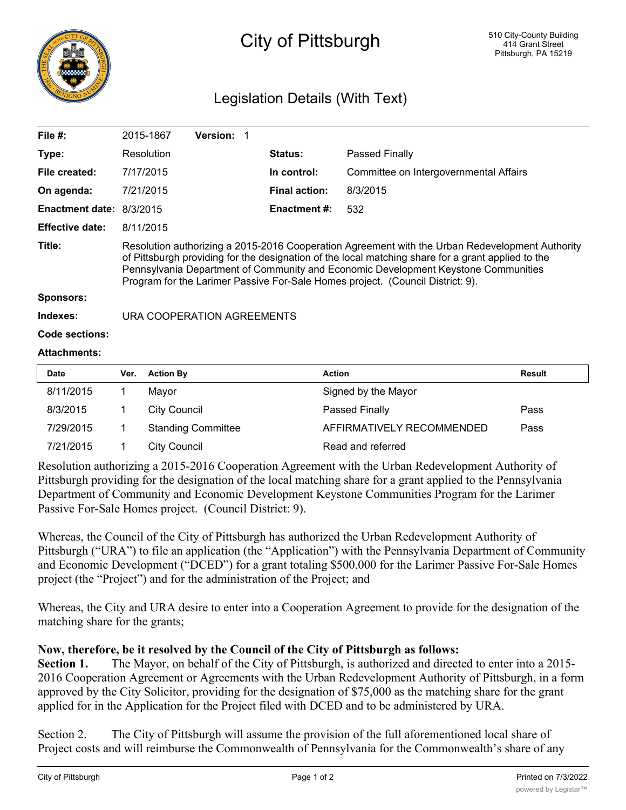

## City of Pittsburgh

## Legislation Details (With Text)

| File $#$ :               | 2015-1867                                                                                                                                                                                                                                                                                                                                                                     | <b>Version:</b> |                      |                                        |  |  |
|--------------------------|-------------------------------------------------------------------------------------------------------------------------------------------------------------------------------------------------------------------------------------------------------------------------------------------------------------------------------------------------------------------------------|-----------------|----------------------|----------------------------------------|--|--|
| Type:                    | Resolution                                                                                                                                                                                                                                                                                                                                                                    |                 | <b>Status:</b>       | Passed Finally                         |  |  |
| File created:            | 7/17/2015                                                                                                                                                                                                                                                                                                                                                                     |                 | In control:          | Committee on Intergovernmental Affairs |  |  |
| On agenda:               | 7/21/2015                                                                                                                                                                                                                                                                                                                                                                     |                 | <b>Final action:</b> | 8/3/2015                               |  |  |
| Enactment date: 8/3/2015 |                                                                                                                                                                                                                                                                                                                                                                               |                 | <b>Enactment #:</b>  | 532                                    |  |  |
| <b>Effective date:</b>   | 8/11/2015                                                                                                                                                                                                                                                                                                                                                                     |                 |                      |                                        |  |  |
| Title:                   | Resolution authorizing a 2015-2016 Cooperation Agreement with the Urban Redevelopment Authority<br>of Pittsburgh providing for the designation of the local matching share for a grant applied to the<br>Pennsylvania Department of Community and Economic Development Keystone Communities<br>Program for the Larimer Passive For-Sale Homes project. (Council District: 9). |                 |                      |                                        |  |  |
| <b>Sponsors:</b>         |                                                                                                                                                                                                                                                                                                                                                                               |                 |                      |                                        |  |  |
| Indexes:                 | URA COOPERATION AGREEMENTS                                                                                                                                                                                                                                                                                                                                                    |                 |                      |                                        |  |  |
| Code sections:           |                                                                                                                                                                                                                                                                                                                                                                               |                 |                      |                                        |  |  |
| <b>Attachments:</b>      |                                                                                                                                                                                                                                                                                                                                                                               |                 |                      |                                        |  |  |
|                          |                                                                                                                                                                                                                                                                                                                                                                               |                 |                      |                                        |  |  |

| <b>Date</b> | Ver. | <b>Action By</b>          | <b>Action</b>             | Result |
|-------------|------|---------------------------|---------------------------|--------|
| 8/11/2015   |      | Mavor                     | Signed by the Mayor       |        |
| 8/3/2015    |      | City Council              | Passed Finally            | Pass   |
| 7/29/2015   |      | <b>Standing Committee</b> | AFFIRMATIVELY RECOMMENDED | Pass   |
| 7/21/2015   |      | City Council              | Read and referred         |        |

Resolution authorizing a 2015-2016 Cooperation Agreement with the Urban Redevelopment Authority of Pittsburgh providing for the designation of the local matching share for a grant applied to the Pennsylvania Department of Community and Economic Development Keystone Communities Program for the Larimer Passive For-Sale Homes project. (Council District: 9).

Whereas, the Council of the City of Pittsburgh has authorized the Urban Redevelopment Authority of Pittsburgh ("URA") to file an application (the "Application") with the Pennsylvania Department of Community and Economic Development ("DCED") for a grant totaling \$500,000 for the Larimer Passive For-Sale Homes project (the "Project") and for the administration of the Project; and

Whereas, the City and URA desire to enter into a Cooperation Agreement to provide for the designation of the matching share for the grants;

## **Now, therefore, be it resolved by the Council of the City of Pittsburgh as follows:**

**Section 1.** The Mayor, on behalf of the City of Pittsburgh, is authorized and directed to enter into a 2015- 2016 Cooperation Agreement or Agreements with the Urban Redevelopment Authority of Pittsburgh, in a form approved by the City Solicitor, providing for the designation of \$75,000 as the matching share for the grant applied for in the Application for the Project filed with DCED and to be administered by URA.

Section 2. The City of Pittsburgh will assume the provision of the full aforementioned local share of Project costs and will reimburse the Commonwealth of Pennsylvania for the Commonwealth's share of any